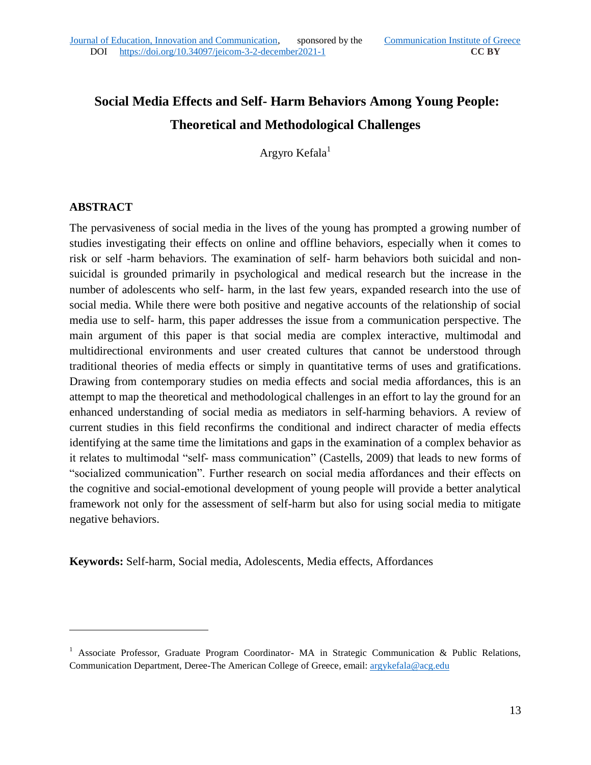# **Social Media Effects and Self- Harm Behaviors Among Young People: Theoretical and Methodological Challenges**

Argyro Kefala<sup>1</sup>

### **ABSTRACT**

 $\overline{a}$ 

The pervasiveness of social media in the lives of the young has prompted a growing number of studies investigating their effects on online and offline behaviors, especially when it comes to risk or self -harm behaviors. The examination of self- harm behaviors both suicidal and nonsuicidal is grounded primarily in psychological and medical research but the increase in the number of adolescents who self- harm, in the last few years, expanded research into the use of social media. While there were both positive and negative accounts of the relationship of social media use to self- harm, this paper addresses the issue from a communication perspective. The main argument of this paper is that social media are complex interactive, multimodal and multidirectional environments and user created cultures that cannot be understood through traditional theories of media effects or simply in quantitative terms of uses and gratifications. Drawing from contemporary studies on media effects and social media affordances, this is an attempt to map the theoretical and methodological challenges in an effort to lay the ground for an enhanced understanding of social media as mediators in self-harming behaviors. A review of current studies in this field reconfirms the conditional and indirect character of media effects identifying at the same time the limitations and gaps in the examination of a complex behavior as it relates to multimodal "self- mass communication" (Castells, 2009) that leads to new forms of "socialized communication". Further research on social media affordances and their effects on the cognitive and social-emotional development of young people will provide a better analytical framework not only for the assessment of self-harm but also for using social media to mitigate negative behaviors.

**Keywords:** Self-harm, Social media, Adolescents, Media effects, Affordances

<sup>&</sup>lt;sup>1</sup> Associate Professor, Graduate Program Coordinator- MA in Strategic Communication & Public Relations, Communication Department, Deree-The American College of Greece, email[: argykefala@acg.edu](mailto:argykefala@acg.edu)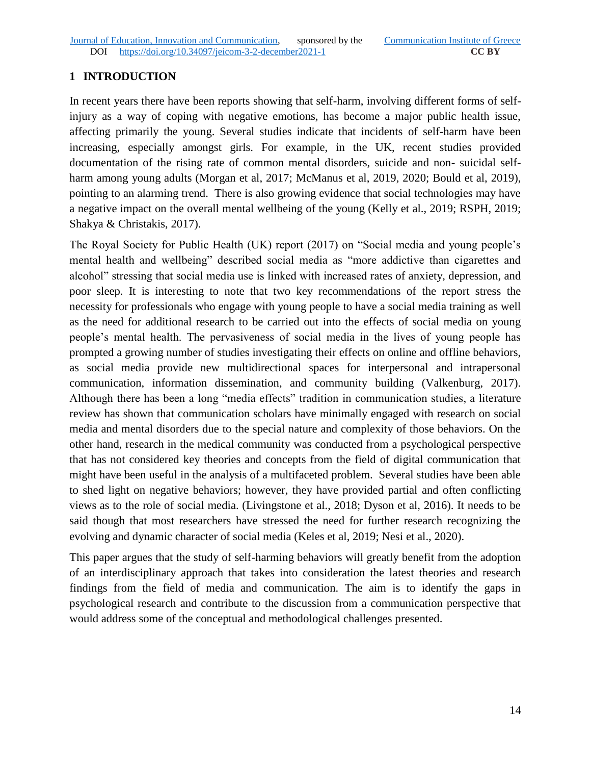# **1 INTRODUCTION**

In recent years there have been reports showing that self-harm, involving different forms of selfinjury as a way of coping with negative emotions, has become a major public health issue, affecting primarily the young. Several studies indicate that incidents of self-harm have been increasing, especially amongst girls. For example, in the UK, recent studies provided documentation of the rising rate of common mental disorders, suicide and non- suicidal selfharm among young adults (Morgan et al, 2017; McManus et al, 2019, 2020; Bould et al, 2019), pointing to an alarming trend. There is also growing evidence that social technologies may have a negative impact on the overall mental wellbeing of the young (Kelly et al., 2019; RSPH, 2019; Shakya & Christakis, 2017).

The Royal Society for Public Health (UK) report (2017) on "Social media and young people's mental health and wellbeing" described social media as "more addictive than cigarettes and alcohol" stressing that social media use is linked with increased rates of anxiety, depression, and poor sleep. It is interesting to note that two key recommendations of the report stress the necessity for professionals who engage with young people to have a social media training as well as the need for additional research to be carried out into the effects of social media on young people's mental health. The pervasiveness of social media in the lives of young people has prompted a growing number of studies investigating their effects on online and offline behaviors, as social media provide new multidirectional spaces for interpersonal and intrapersonal communication, information dissemination, and community building (Valkenburg, 2017). Although there has been a long "media effects" tradition in communication studies, a literature review has shown that communication scholars have minimally engaged with research on social media and mental disorders due to the special nature and complexity of those behaviors. On the other hand, research in the medical community was conducted from a psychological perspective that has not considered key theories and concepts from the field of digital communication that might have been useful in the analysis of a multifaceted problem. Several studies have been able to shed light on negative behaviors; however, they have provided partial and often conflicting views as to the role of social media. (Livingstone et al., 2018; Dyson et al, 2016). It needs to be said though that most researchers have stressed the need for further research recognizing the evolving and dynamic character of social media (Keles et al, 2019; Nesi et al., 2020).

This paper argues that the study of self-harming behaviors will greatly benefit from the adoption of an interdisciplinary approach that takes into consideration the latest theories and research findings from the field of media and communication. The aim is to identify the gaps in psychological research and contribute to the discussion from a communication perspective that would address some of the conceptual and methodological challenges presented.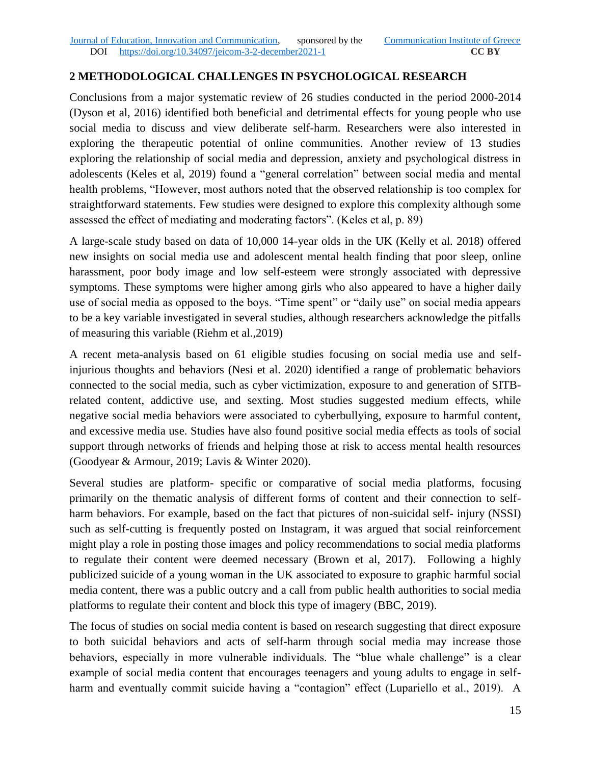# **2 METHODOLOGICAL CHALLENGES IN PSYCHOLOGICAL RESEARCH**

Conclusions from a major systematic review of 26 studies conducted in the period 2000-2014 (Dyson et al, 2016) identified both beneficial and detrimental effects for young people who use social media to discuss and view deliberate self-harm. Researchers were also interested in exploring the therapeutic potential of online communities. Another review of 13 studies exploring the relationship of social media and depression, anxiety and psychological distress in adolescents (Keles et al, 2019) found a "general correlation" between social media and mental health problems, "However, most authors noted that the observed relationship is too complex for straightforward statements. Few studies were designed to explore this complexity although some assessed the effect of mediating and moderating factors". (Keles et al, p. 89)

A large-scale study based on data of 10,000 14-year olds in the UK (Kelly et al. 2018) offered new insights on social media use and adolescent mental health finding that poor sleep, online harassment, poor body image and low self-esteem were strongly associated with depressive symptoms. These symptoms were higher among girls who also appeared to have a higher daily use of social media as opposed to the boys. "Time spent" or "daily use" on social media appears to be a key variable investigated in several studies, although researchers acknowledge the pitfalls of measuring this variable (Riehm et al.,2019)

A recent meta-analysis based on 61 eligible studies focusing on social media use and selfinjurious thoughts and behaviors (Nesi et al. 2020) identified a range of problematic behaviors connected to the social media, such as cyber victimization, exposure to and generation of SITBrelated content, addictive use, and sexting. Most studies suggested medium effects, while negative social media behaviors were associated to cyberbullying, exposure to harmful content, and excessive media use. Studies have also found positive social media effects as tools of social support through networks of friends and helping those at risk to access mental health resources (Goodyear & Armour, 2019; Lavis & Winter 2020).

Several studies are platform- specific or comparative of social media platforms, focusing primarily on the thematic analysis of different forms of content and their connection to selfharm behaviors. For example, based on the fact that pictures of non-suicidal self- injury (NSSI) such as self-cutting is frequently posted on Instagram, it was argued that social reinforcement might play a role in posting those images and policy recommendations to social media platforms to regulate their content were deemed necessary (Brown et al, 2017). Following a highly publicized suicide of a young woman in the UK associated to exposure to graphic harmful social media content, there was a public outcry and a call from public health authorities to social media platforms to regulate their content and block this type of imagery (BBC, 2019).

The focus of studies on social media content is based on research suggesting that direct exposure to both suicidal behaviors and acts of self-harm through social media may increase those behaviors, especially in more vulnerable individuals. The "blue whale challenge" is a clear example of social media content that encourages teenagers and young adults to engage in selfharm and eventually commit suicide having a "contagion" effect (Lupariello et al., 2019). A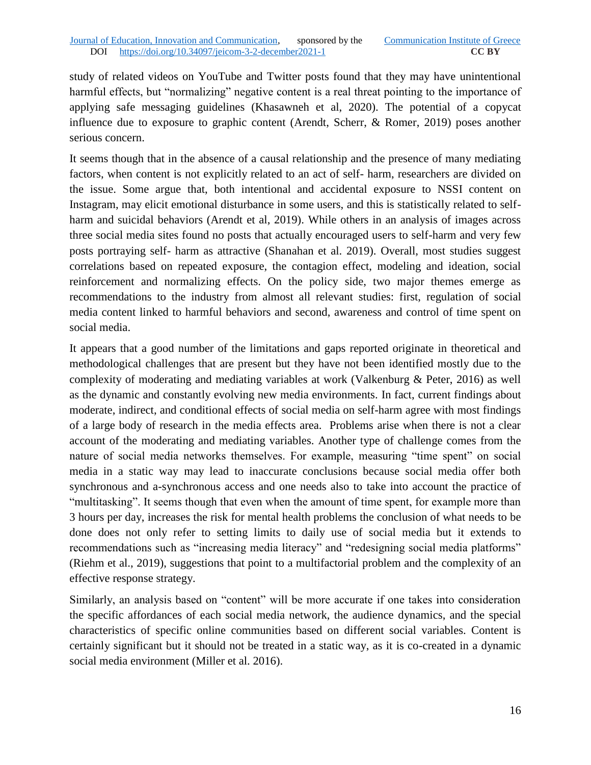study of related videos on YouTube and Twitter posts found that they may have unintentional harmful effects, but "normalizing" negative content is a real threat pointing to the importance of applying safe messaging guidelines (Khasawneh et al, 2020). The potential of a copycat influence due to exposure to graphic content (Arendt, Scherr, & Romer, 2019) poses another serious concern.

It seems though that in the absence of a causal relationship and the presence of many mediating factors, when content is not explicitly related to an act of self- harm, researchers are divided on the issue. Some argue that, both intentional and accidental exposure to NSSI content on Instagram, may elicit emotional disturbance in some users, and this is statistically related to selfharm and suicidal behaviors (Arendt et al, 2019). While others in an analysis of images across three social media sites found no posts that actually encouraged users to self-harm and very few posts portraying self- harm as attractive (Shanahan et al. 2019). Overall, most studies suggest correlations based on repeated exposure, the contagion effect, modeling and ideation, social reinforcement and normalizing effects. On the policy side, two major themes emerge as recommendations to the industry from almost all relevant studies: first, regulation of social media content linked to harmful behaviors and second, awareness and control of time spent on social media.

It appears that a good number of the limitations and gaps reported originate in theoretical and methodological challenges that are present but they have not been identified mostly due to the complexity of moderating and mediating variables at work (Valkenburg & Peter, 2016) as well as the dynamic and constantly evolving new media environments. In fact, current findings about moderate, indirect, and conditional effects of social media on self-harm agree with most findings of a large body of research in the media effects area. Problems arise when there is not a clear account of the moderating and mediating variables. Another type of challenge comes from the nature of social media networks themselves. For example, measuring "time spent" on social media in a static way may lead to inaccurate conclusions because social media offer both synchronous and a-synchronous access and one needs also to take into account the practice of "multitasking". It seems though that even when the amount of time spent, for example more than 3 hours per day, increases the risk for mental health problems the conclusion of what needs to be done does not only refer to setting limits to daily use of social media but it extends to recommendations such as "increasing media literacy" and "redesigning social media platforms" (Riehm et al., 2019), suggestions that point to a multifactorial problem and the complexity of an effective response strategy.

Similarly, an analysis based on "content" will be more accurate if one takes into consideration the specific affordances of each social media network, the audience dynamics, and the special characteristics of specific online communities based on different social variables. Content is certainly significant but it should not be treated in a static way, as it is co-created in a dynamic social media environment (Miller et al. 2016).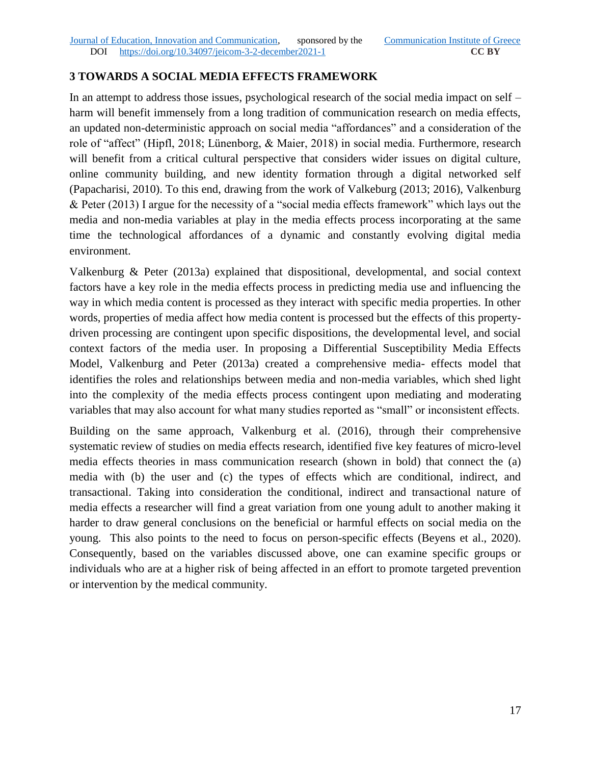# **3 TOWARDS A SOCIAL MEDIA EFFECTS FRAMEWORK**

In an attempt to address those issues, psychological research of the social media impact on self – harm will benefit immensely from a long tradition of communication research on media effects, an updated non-deterministic approach on social media "affordances" and a consideration of the role of "affect" (Hipfl, 2018; Lünenborg, & Maier, 2018) in social media. Furthermore, research will benefit from a critical cultural perspective that considers wider issues on digital culture, online community building, and new identity formation through a digital networked self (Papacharisi, 2010). To this end, drawing from the work of Valkeburg (2013; 2016), Valkenburg & Peter (2013) I argue for the necessity of a "social media effects framework" which lays out the media and non-media variables at play in the media effects process incorporating at the same time the technological affordances of a dynamic and constantly evolving digital media environment.

Valkenburg & Peter (2013a) explained that dispositional, developmental, and social context factors have a key role in the media effects process in predicting media use and influencing the way in which media content is processed as they interact with specific media properties. In other words, properties of media affect how media content is processed but the effects of this propertydriven processing are contingent upon specific dispositions, the developmental level, and social context factors of the media user. In proposing a Differential Susceptibility Media Effects Model, Valkenburg and Peter (2013a) created a comprehensive media- effects model that identifies the roles and relationships between media and non-media variables, which shed light into the complexity of the media effects process contingent upon mediating and moderating variables that may also account for what many studies reported as "small" or inconsistent effects.

Building on the same approach, Valkenburg et al. (2016), through their comprehensive systematic review of studies on media effects research, identified five key features of micro-level media effects theories in mass communication research (shown in bold) that connect the (a) media with (b) the user and (c) the types of effects which are conditional, indirect, and transactional. Taking into consideration the conditional, indirect and transactional nature of media effects a researcher will find a great variation from one young adult to another making it harder to draw general conclusions on the beneficial or harmful effects on social media on the young. This also points to the need to focus on person-specific effects (Beyens et al., 2020). Consequently, based on the variables discussed above, one can examine specific groups or individuals who are at a higher risk of being affected in an effort to promote targeted prevention or intervention by the medical community.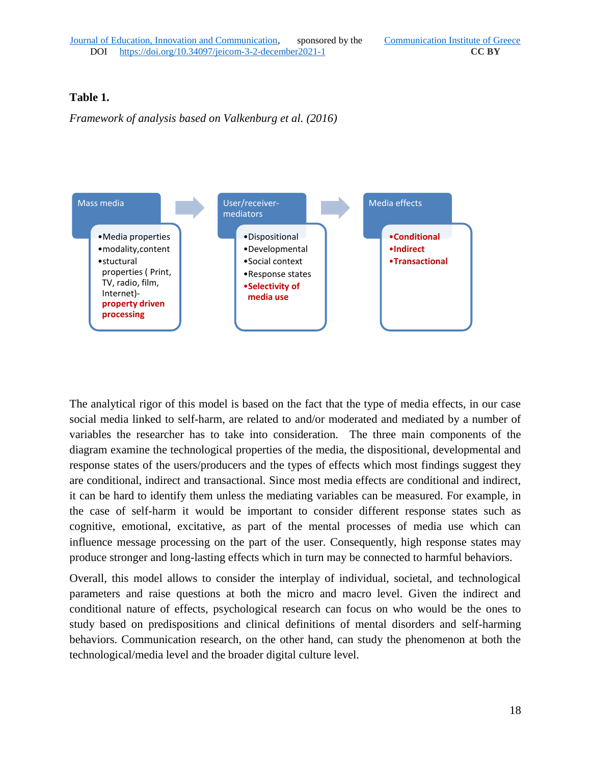### **Table 1.**

*Framework of analysis based on Valkenburg et al. (2016)*



The analytical rigor of this model is based on the fact that the type of media effects, in our case social media linked to self-harm, are related to and/or moderated and mediated by a number of variables the researcher has to take into consideration. The three main components of the diagram examine the technological properties of the media, the dispositional, developmental and response states of the users/producers and the types of effects which most findings suggest they are conditional, indirect and transactional. Since most media effects are conditional and indirect, it can be hard to identify them unless the mediating variables can be measured. For example, in the case of self-harm it would be important to consider different response states such as cognitive, emotional, excitative, as part of the mental processes of media use which can influence message processing on the part of the user. Consequently, high response states may produce stronger and long-lasting effects which in turn may be connected to harmful behaviors.

Overall, this model allows to consider the interplay of individual, societal, and technological parameters and raise questions at both the micro and macro level. Given the indirect and conditional nature of effects, psychological research can focus on who would be the ones to study based on predispositions and clinical definitions of mental disorders and self-harming behaviors. Communication research, on the other hand, can study the phenomenon at both the technological/media level and the broader digital culture level.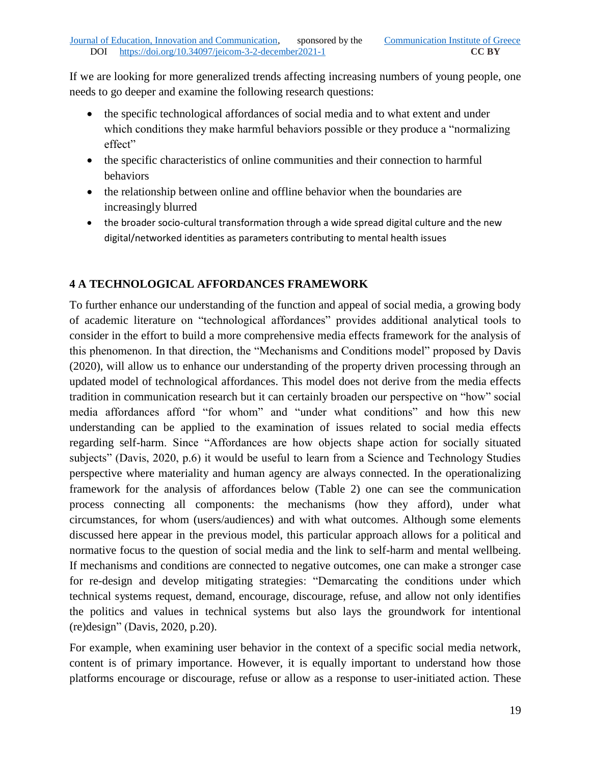If we are looking for more generalized trends affecting increasing numbers of young people, one needs to go deeper and examine the following research questions:

- the specific technological affordances of social media and to what extent and under which conditions they make harmful behaviors possible or they produce a "normalizing effect"
- the specific characteristics of online communities and their connection to harmful behaviors
- the relationship between online and offline behavior when the boundaries are increasingly blurred
- the broader socio-cultural transformation through a wide spread digital culture and the new digital/networked identities as parameters contributing to mental health issues

# **4 A TECHNOLOGICAL AFFORDANCES FRAMEWORK**

To further enhance our understanding of the function and appeal of social media, a growing body of academic literature on "technological affordances" provides additional analytical tools to consider in the effort to build a more comprehensive media effects framework for the analysis of this phenomenon. In that direction, the "Mechanisms and Conditions model" proposed by Davis (2020), will allow us to enhance our understanding of the property driven processing through an updated model of technological affordances. This model does not derive from the media effects tradition in communication research but it can certainly broaden our perspective on "how" social media affordances afford "for whom" and "under what conditions" and how this new understanding can be applied to the examination of issues related to social media effects regarding self-harm. Since "Affordances are how objects shape action for socially situated subjects" (Davis, 2020, p.6) it would be useful to learn from a Science and Technology Studies perspective where materiality and human agency are always connected. In the operationalizing framework for the analysis of affordances below (Table 2) one can see the communication process connecting all components: the mechanisms (how they afford), under what circumstances, for whom (users/audiences) and with what outcomes. Although some elements discussed here appear in the previous model, this particular approach allows for a political and normative focus to the question of social media and the link to self-harm and mental wellbeing. If mechanisms and conditions are connected to negative outcomes, one can make a stronger case for re-design and develop mitigating strategies: "Demarcating the conditions under which technical systems request, demand, encourage, discourage, refuse, and allow not only identifies the politics and values in technical systems but also lays the groundwork for intentional (re)design" (Davis, 2020, p.20).

For example, when examining user behavior in the context of a specific social media network, content is of primary importance. However, it is equally important to understand how those platforms encourage or discourage, refuse or allow as a response to user-initiated action. These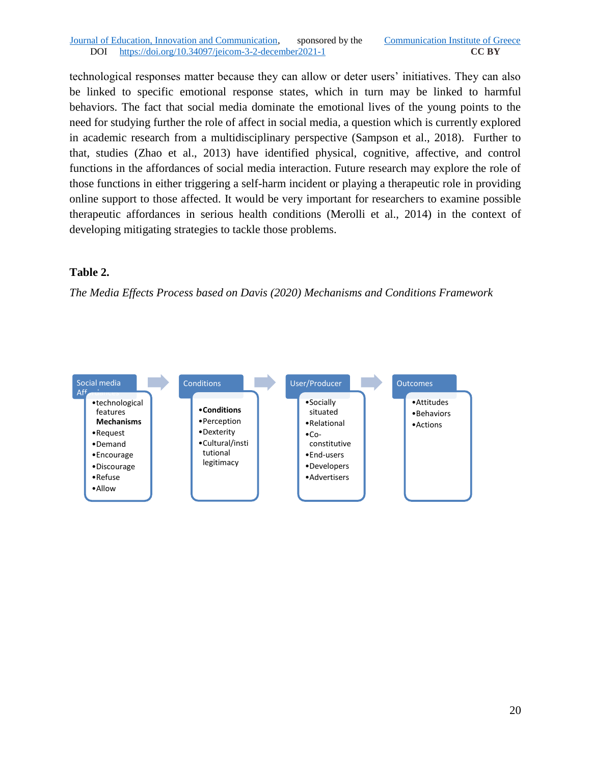#### Journal of Education, Innovation and Communication, sponsored by the Communication Institute of Greece DOI https://doi.org/10.34097/jeicom-3-2-december2021-1 **CC BY**

technological responses matter because they can allow or deter users' initiatives. They can also be linked to specific emotional response states, which in turn may be linked to harmful behaviors. The fact that social media dominate the emotional lives of the young points to the need for studying further the role of affect in social media, a question which is currently explored in academic research from a multidisciplinary perspective (Sampson et al., 2018). Further to that, studies (Zhao et al., 2013) have identified physical, cognitive, affective, and control functions in the affordances of social media interaction. Future research may explore the role of those functions in either triggering a self-harm incident or playing a therapeutic role in providing online support to those affected. It would be very important for researchers to examine possible therapeutic affordances in serious health conditions (Merolli et al., 2014) in the context of developing mitigating strategies to tackle those problems.

#### **Table 2.**

*The Media Effects Process based on Davis (2020) Mechanisms and Conditions Framework*

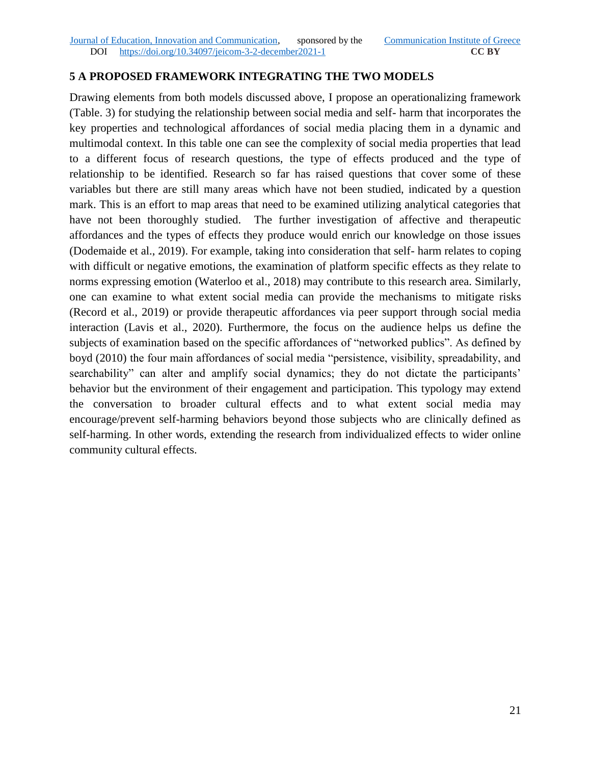## **5 A PROPOSED FRAMEWORK INTEGRATING THE TWO MODELS**

Drawing elements from both models discussed above, I propose an operationalizing framework (Table. 3) for studying the relationship between social media and self- harm that incorporates the key properties and technological affordances of social media placing them in a dynamic and multimodal context. In this table one can see the complexity of social media properties that lead to a different focus of research questions, the type of effects produced and the type of relationship to be identified. Research so far has raised questions that cover some of these variables but there are still many areas which have not been studied, indicated by a question mark. This is an effort to map areas that need to be examined utilizing analytical categories that have not been thoroughly studied. The further investigation of affective and therapeutic affordances and the types of effects they produce would enrich our knowledge on those issues (Dodemaide et al., 2019). For example, taking into consideration that self- harm relates to coping with difficult or negative emotions, the examination of platform specific effects as they relate to norms expressing emotion (Waterloo et al., 2018) may contribute to this research area. Similarly, one can examine to what extent social media can provide the mechanisms to mitigate risks (Record et al., 2019) or provide therapeutic affordances via peer support through social media interaction (Lavis et al., 2020). Furthermore, the focus on the audience helps us define the subjects of examination based on the specific affordances of "networked publics". As defined by boyd (2010) the four main affordances of social media "persistence, visibility, spreadability, and searchability" can alter and amplify social dynamics; they do not dictate the participants' behavior but the environment of their engagement and participation. This typology may extend the conversation to broader cultural effects and to what extent social media may encourage/prevent self-harming behaviors beyond those subjects who are clinically defined as self-harming. In other words, extending the research from individualized effects to wider online community cultural effects.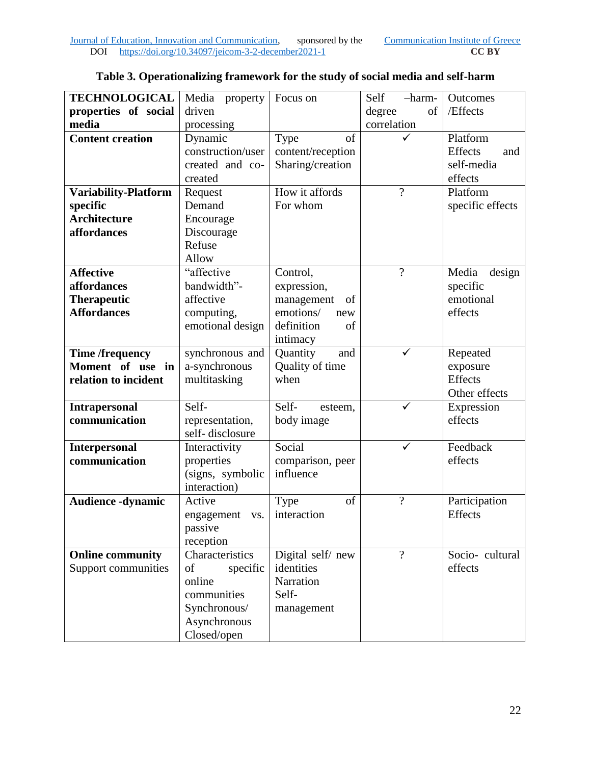| <b>TECHNOLOGICAL</b>     | Media<br>property | Focus on          | -harm-<br>Self           | Outcomes         |
|--------------------------|-------------------|-------------------|--------------------------|------------------|
| properties of social     | driven            |                   | of<br>degree             | /Effects         |
| media                    | processing        |                   | correlation              |                  |
| <b>Content creation</b>  | Dynamic           | of<br>Type        |                          | Platform         |
|                          | construction/user | content/reception |                          | Effects<br>and   |
|                          | created and co-   | Sharing/creation  |                          | self-media       |
|                          | created           |                   |                          | effects          |
| Variability-Platform     | Request           | How it affords    | $\gamma$                 | Platform         |
| specific                 | Demand            | For whom          |                          | specific effects |
| <b>Architecture</b>      | Encourage         |                   |                          |                  |
| affordances              | Discourage        |                   |                          |                  |
|                          | Refuse            |                   |                          |                  |
|                          | Allow             |                   |                          |                  |
| <b>Affective</b>         | "affective        | Control,          | $\overline{?}$           | Media<br>design  |
| affordances              | bandwidth"-       | expression,       |                          | specific         |
| <b>Therapeutic</b>       | affective         | management<br>of  |                          | emotional        |
| <b>Affordances</b>       | computing,        | emotions/<br>new  |                          | effects          |
|                          | emotional design  | definition<br>of  |                          |                  |
|                          |                   | intimacy          |                          |                  |
| <b>Time /frequency</b>   | synchronous and   | Quantity<br>and   | $\checkmark$             | Repeated         |
| Moment of use in         | a-synchronous     | Quality of time   |                          | exposure         |
| relation to incident     | multitasking      | when              |                          | <b>Effects</b>   |
|                          |                   |                   |                          | Other effects    |
| <b>Intrapersonal</b>     | Self-             | Self-<br>esteem,  | ✓                        | Expression       |
| communication            | representation,   | body image        |                          | effects          |
|                          | self-disclosure   |                   |                          |                  |
| <b>Interpersonal</b>     | Interactivity     | Social            |                          | Feedback         |
| communication            | properties        | comparison, peer  |                          | effects          |
|                          | (signs, symbolic  | influence         |                          |                  |
|                          | interaction)      |                   |                          |                  |
| <b>Audience -dynamic</b> | Active            | of<br>Type        | $\overline{\mathcal{L}}$ | Participation    |
|                          | engagement<br>VS. | interaction       |                          | <b>Effects</b>   |
|                          | passive           |                   |                          |                  |
|                          | reception         |                   |                          |                  |
| <b>Online community</b>  | Characteristics   | Digital self/new  | $\gamma$                 | Socio-cultural   |
| Support communities      | of<br>specific    | identities        |                          | effects          |
|                          | online            | Narration         |                          |                  |
|                          | communities       | Self-             |                          |                  |
|                          | Synchronous/      | management        |                          |                  |
|                          | Asynchronous      |                   |                          |                  |
|                          | Closed/open       |                   |                          |                  |

# **Table 3. Operationalizing framework for the study of social media and self-harm**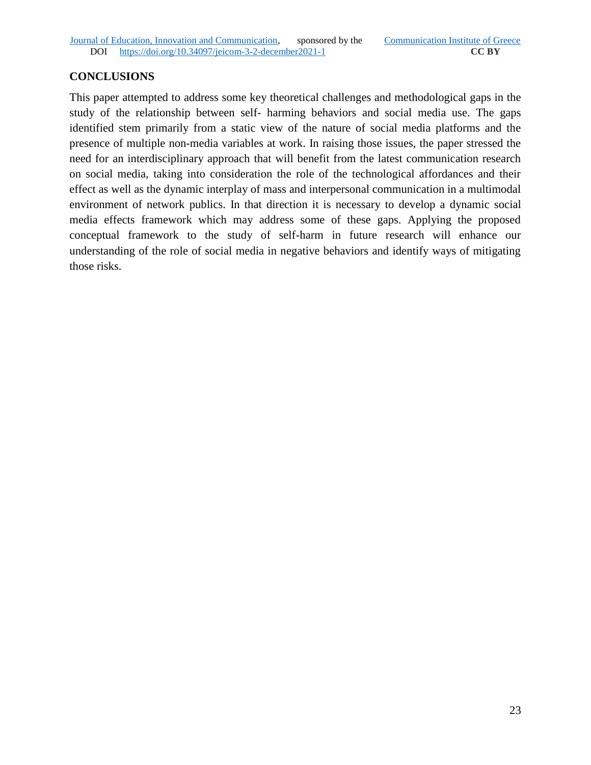# **CONCLUSIONS**

This paper attempted to address some key theoretical challenges and methodological gaps in the study of the relationship between self- harming behaviors and social media use. The gaps identified stem primarily from a static view of the nature of social media platforms and the presence of multiple non-media variables at work. In raising those issues, the paper stressed the need for an interdisciplinary approach that will benefit from the latest communication research on social media, taking into consideration the role of the technological affordances and their effect as well as the dynamic interplay of mass and interpersonal communication in a multimodal environment of network publics. In that direction it is necessary to develop a dynamic social media effects framework which may address some of these gaps. Applying the proposed conceptual framework to the study of self-harm in future research will enhance our understanding of the role of social media in negative behaviors and identify ways of mitigating those risks.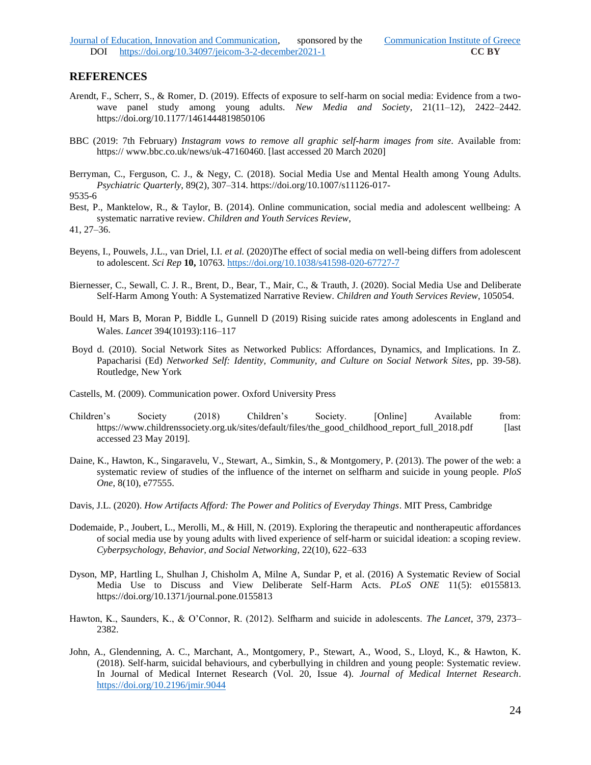#### **REFERENCES**

- Arendt, F., Scherr, S., & Romer, D. (2019). Effects of exposure to self-harm on social media: Evidence from a twowave panel study among young adults. *New Media and Society*, 21(11–12), 2422–2442. https://doi.org/10.1177/1461444819850106
- BBC (2019: 7th February) *Instagram vows to remove all graphic self-harm images from site*. Available from: https:// www.bbc.co.uk/news/uk-47160460. [last accessed 20 March 2020]
- Berryman, C., Ferguson, C. J., & Negy, C. (2018). Social Media Use and Mental Health among Young Adults. *Psychiatric Quarterly*, 89(2), 307–314. https://doi.org/10.1007/s11126-017-

```
9535-6
```
Best, P., Manktelow, R., & Taylor, B. (2014). Online communication, social media and adolescent wellbeing: A systematic narrative review. *Children and Youth Services Review*,

41, 27–36.

- Beyens, I., Pouwels, J.L., van Driel, I.I. *et al.* (2020)The effect of social media on well-being differs from adolescent to adolescent. *Sci Rep* **10,** 10763[. https://doi.org/10.1038/s41598-020-67727-7](https://doi.org/10.1038/s41598-020-67727-7)
- Biernesser, C., Sewall, C. J. R., Brent, D., Bear, T., Mair, C., & Trauth, J. (2020). Social Media Use and Deliberate Self-Harm Among Youth: A Systematized Narrative Review. *Children and Youth Services Review*, 105054.
- Bould H, Mars B, Moran P, Biddle L, Gunnell D (2019) Rising suicide rates among adolescents in England and Wales. *Lancet* 394(10193):116–117
- Boyd d. (2010). Social Network Sites as Networked Publics: Affordances, Dynamics, and Implications. In Z. Papacharisi (Ed) *Networked Self: Identity, Community, and Culture on Social Network Sites*, pp. 39-58). Routledge, New York
- Castells, M. (2009). Communication power. Oxford University Press
- Children's Society (2018) Children's Society. [Online] Available from: https://www.childrenssociety.org.uk/sites/default/files/the\_good\_childhood\_report\_full\_2018.pdf [last accessed 23 May 2019].
- Daine, K., Hawton, K., Singaravelu, V., Stewart, A., Simkin, S., & Montgomery, P. (2013). The power of the web: a systematic review of studies of the influence of the internet on selfharm and suicide in young people. *PloS One*, 8(10), e77555.
- Davis, J.L. (2020). *How Artifacts Afford: The Power and Politics of Everyday Things*. MIT Press, Cambridge
- Dodemaide, P., Joubert, L., Merolli, M., & Hill, N. (2019). Exploring the therapeutic and nontherapeutic affordances of social media use by young adults with lived experience of self-harm or suicidal ideation: a scoping review. *Cyberpsychology, Behavior, and Social Networking*, 22(10), 622–633
- Dyson, MP, Hartling L, Shulhan J, Chisholm A, Milne A, Sundar P, et al. (2016) A Systematic Review of Social Media Use to Discuss and View Deliberate Self-Harm Acts. *PLoS ONE* 11(5): e0155813. https://doi.org/10.1371/journal.pone.0155813
- Hawton, K., Saunders, K., & O'Connor, R. (2012). Selfharm and suicide in adolescents. *The Lancet*, 379, 2373– 2382.
- John, A., Glendenning, A. C., Marchant, A., Montgomery, P., Stewart, A., Wood, S., Lloyd, K., & Hawton, K. (2018). Self-harm, suicidal behaviours, and cyberbullying in children and young people: Systematic review. In Journal of Medical Internet Research (Vol. 20, Issue 4). *Journal of Medical Internet Research*. <https://doi.org/10.2196/jmir.9044>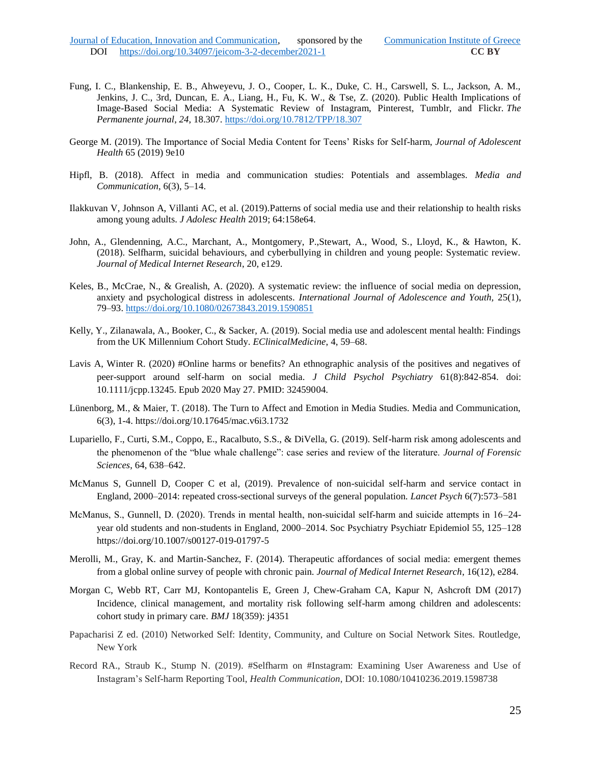- Fung, I. C., Blankenship, E. B., Ahweyevu, J. O., Cooper, L. K., Duke, C. H., Carswell, S. L., Jackson, A. M., Jenkins, J. C., 3rd, Duncan, E. A., Liang, H., Fu, K. W., & Tse, Z. (2020). Public Health Implications of Image-Based Social Media: A Systematic Review of Instagram, Pinterest, Tumblr, and Flickr. *The Permanente journal*, *24*, 18.307.<https://doi.org/10.7812/TPP/18.307>
- George M. (2019). The Importance of Social Media Content for Teens' Risks for Self-harm, *Journal of Adolescent Health* 65 (2019) 9e10
- Hipfl, B. (2018). Affect in media and communication studies: Potentials and assemblages. *Media and Communication*, 6(3), 5–14.
- Ilakkuvan V, Johnson A, Villanti AC, et al. (2019).Patterns of social media use and their relationship to health risks among young adults. *J Adolesc Health* 2019; 64:158e64.
- John, A., Glendenning, A.C., Marchant, A., Montgomery, P.,Stewart, A., Wood, S., Lloyd, K., & Hawton, K. (2018). Selfharm, suicidal behaviours, and cyberbullying in children and young people: Systematic review. *Journal of Medical Internet Research*, 20, e129.
- Keles, B., McCrae, N., & Grealish, A. (2020). A systematic review: the influence of social media on depression, anxiety and psychological distress in adolescents. *International Journal of Adolescence and Youth,* 25(1), 79–93.<https://doi.org/10.1080/02673843.2019.1590851>
- Kelly, Y., Zilanawala, A., Booker, C., & Sacker, A. (2019). Social media use and adolescent mental health: Findings from the UK Millennium Cohort Study. *EClinicalMedicine*, 4, 59–68.
- Lavis A, Winter R. (2020) #Online harms or benefits? An ethnographic analysis of the positives and negatives of peer-support around self-harm on social media. *J Child Psychol Psychiatry* 61(8):842-854. doi: 10.1111/jcpp.13245. Epub 2020 May 27. PMID: 32459004.
- Lünenborg, M., & Maier, T. (2018). The Turn to Affect and Emotion in Media Studies. Media and Communication, 6(3), 1-4. https://doi.org/10.17645/mac.v6i3.1732
- Lupariello, F., Curti, S.M., Coppo, E., Racalbuto, S.S., & DiVella, G. (2019). Self-harm risk among adolescents and the phenomenon of the "blue whale challenge": case series and review of the literature. *Journal of Forensic Sciences*, 64, 638–642.
- McManus S, Gunnell D, Cooper C et al, (2019). Prevalence of non-suicidal self-harm and service contact in England, 2000–2014: repeated cross-sectional surveys of the general population. *Lancet Psych* 6(7):573–581
- McManus, S., Gunnell, D. (2020). Trends in mental health, non-suicidal self-harm and suicide attempts in 16–24year old students and non-students in England, 2000–2014. Soc Psychiatry Psychiatr Epidemiol 55, 125–128 https://doi.org/10.1007/s00127-019-01797-5
- Merolli, M., Gray, K. and Martin-Sanchez, F. (2014). Therapeutic affordances of social media: emergent themes from a global online survey of people with chronic pain. *Journal of Medical Internet Research*, 16(12), e284.
- Morgan C, Webb RT, Carr MJ, Kontopantelis E, Green J, Chew-Graham CA, Kapur N, Ashcroft DM (2017) Incidence, clinical management, and mortality risk following self-harm among children and adolescents: cohort study in primary care. *BMJ* 18(359): j4351
- Papacharisi Z ed. (2010) Networked Self: Identity, Community, and Culture on Social Network Sites. Routledge, New York
- Record RA., Straub K., Stump N. (2019). #Selfharm on #Instagram: Examining User Awareness and Use of Instagram's Self-harm Reporting Tool, *Health Communication*, DOI: 10.1080/10410236.2019.1598738